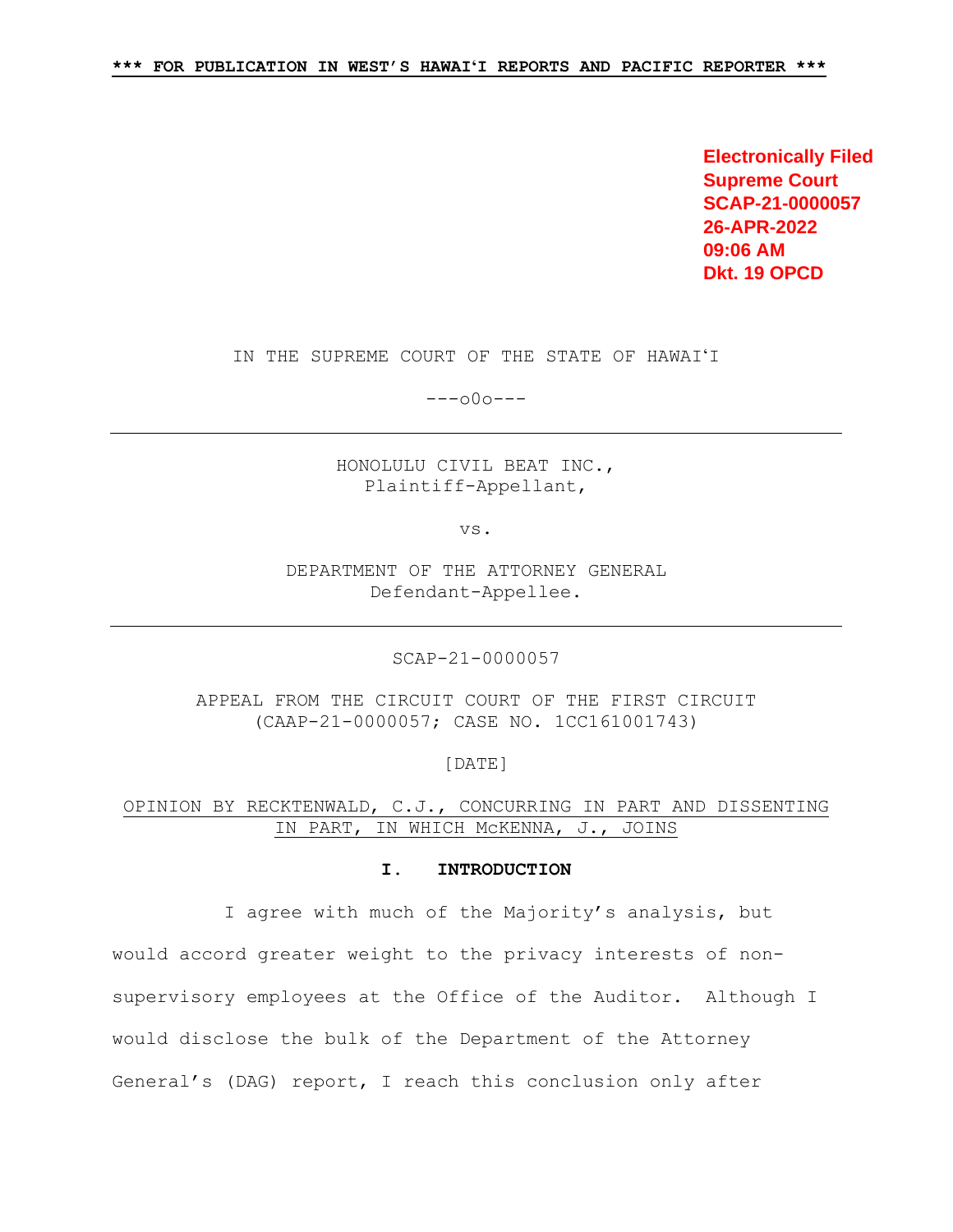**Electronically Filed Supreme Court SCAP-21-0000057 26-APR-2022 09:06 AM Dkt. 19 OPCD**

IN THE SUPREME COURT OF THE STATE OF HAWAIʻI

---o0o---

HONOLULU CIVIL BEAT INC., Plaintiff-Appellant,

vs.

DEPARTMENT OF THE ATTORNEY GENERAL Defendant-Appellee.

SCAP-21-0000057

APPEAL FROM THE CIRCUIT COURT OF THE FIRST CIRCUIT (CAAP-21-0000057; CASE NO. 1CC161001743)

[DATE]

OPINION BY RECKTENWALD, C.J., CONCURRING IN PART AND DISSENTING IN PART, IN WHICH McKENNA, J., JOINS

### **I. INTRODUCTION**

I agree with much of the Majority's analysis, but

would accord greater weight to the privacy interests of nonsupervisory employees at the Office of the Auditor. Although I would disclose the bulk of the Department of the Attorney General's (DAG) report, I reach this conclusion only after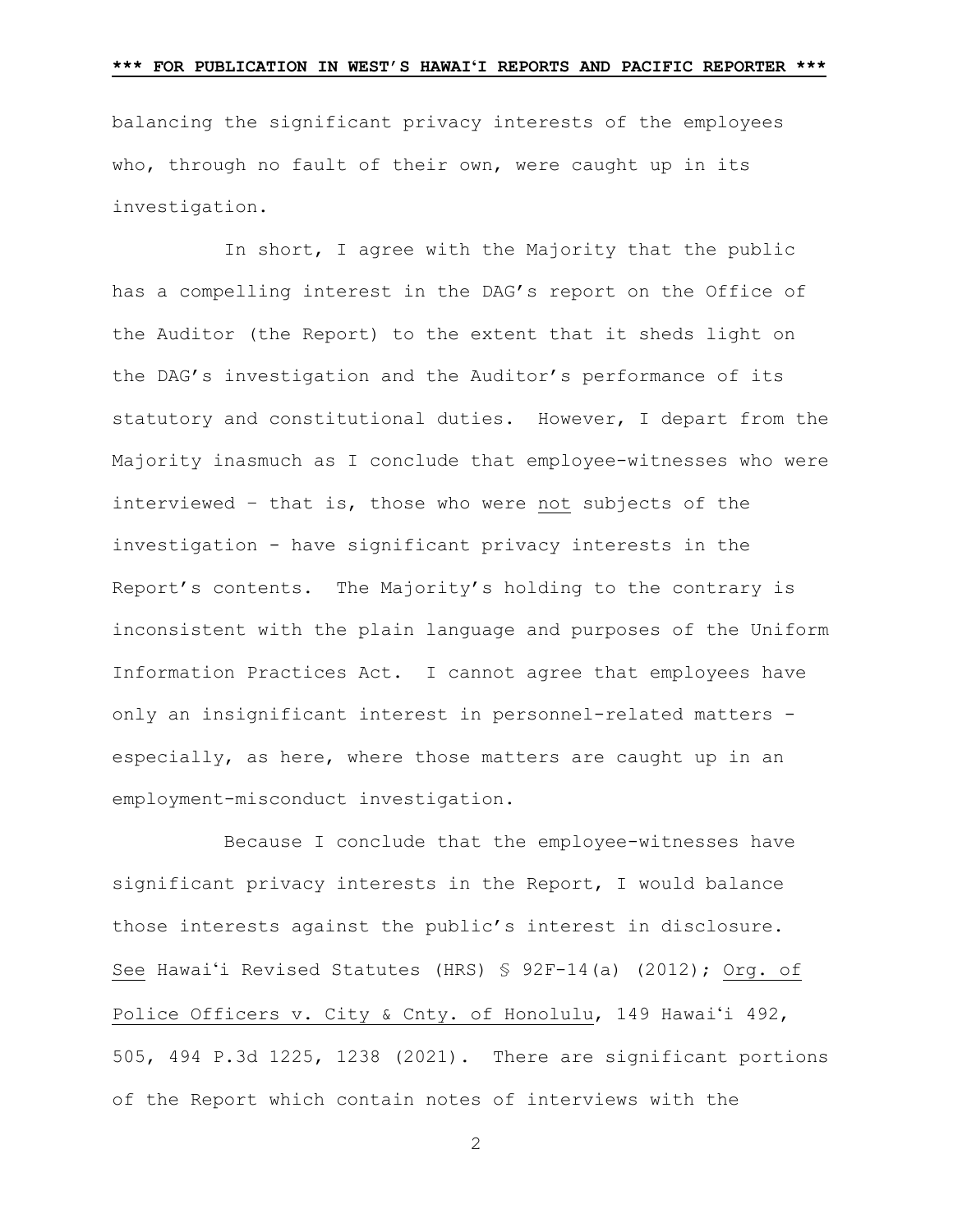balancing the significant privacy interests of the employees who, through no fault of their own, were caught up in its investigation.

In short, I agree with the Majority that the public has a compelling interest in the DAG's report on the Office of the Auditor (the Report) to the extent that it sheds light on the DAG's investigation and the Auditor's performance of its statutory and constitutional duties. However, I depart from the Majority inasmuch as I conclude that employee-witnesses who were interviewed – that is, those who were not subjects of the investigation - have significant privacy interests in the Report's contents. The Majority's holding to the contrary is inconsistent with the plain language and purposes of the Uniform Information Practices Act. I cannot agree that employees have only an insignificant interest in personnel-related matters especially, as here, where those matters are caught up in an employment-misconduct investigation.

Because I conclude that the employee-witnesses have significant privacy interests in the Report, I would balance those interests against the public's interest in disclosure. See Hawai'i Revised Statutes (HRS) § 92F-14(a) (2012); Org. of Police Officers v. City & Cnty. of Honolulu, 149 Hawai'i 492, 505, 494 P.3d 1225, 1238 (2021). There are significant portions of the Report which contain notes of interviews with the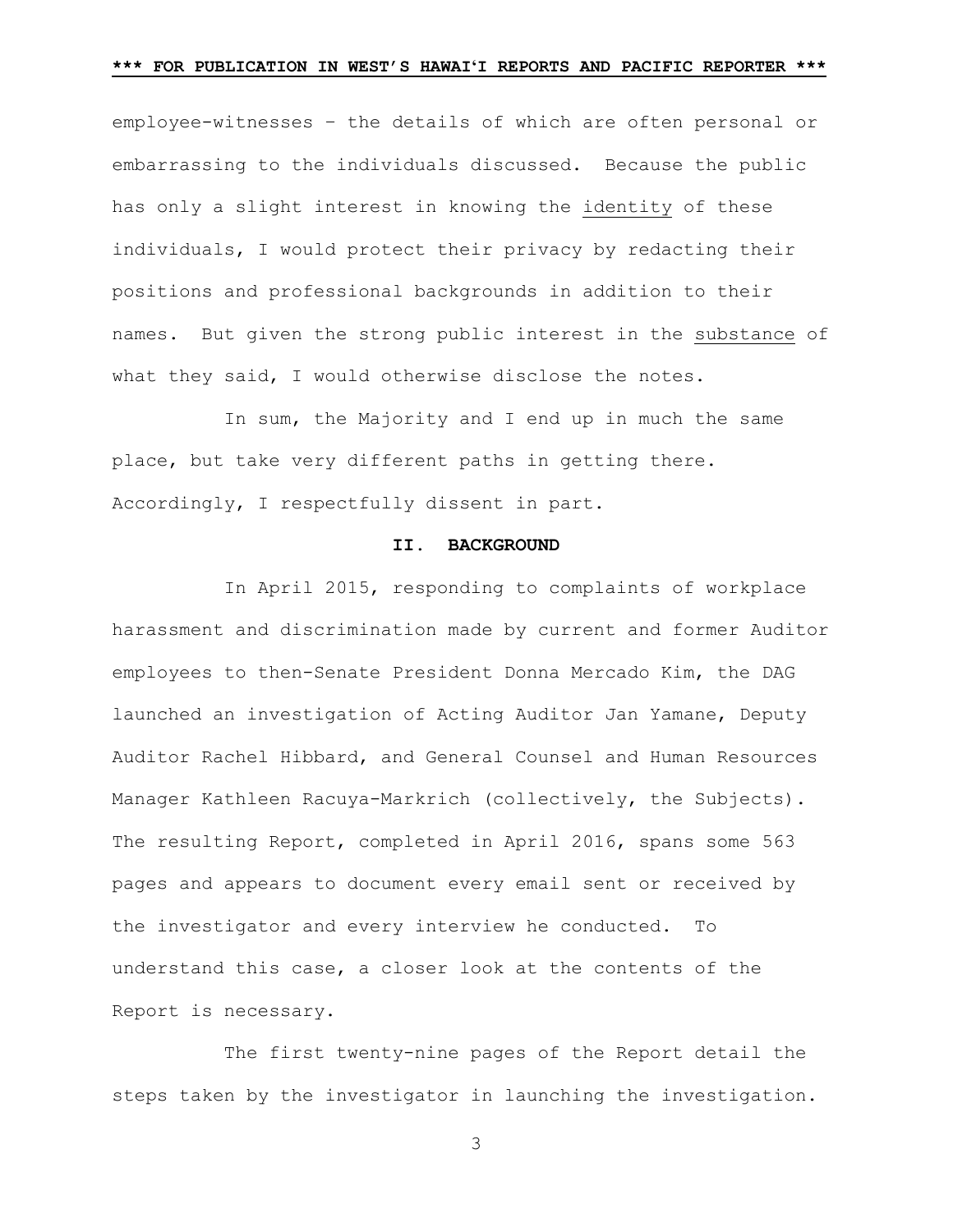employee-witnesses – the details of which are often personal or embarrassing to the individuals discussed. Because the public has only a slight interest in knowing the identity of these individuals, I would protect their privacy by redacting their positions and professional backgrounds in addition to their names. But given the strong public interest in the substance of what they said, I would otherwise disclose the notes.

In sum, the Majority and I end up in much the same place, but take very different paths in getting there. Accordingly, I respectfully dissent in part.

#### **II. BACKGROUND**

In April 2015, responding to complaints of workplace harassment and discrimination made by current and former Auditor employees to then-Senate President Donna Mercado Kim, the DAG launched an investigation of Acting Auditor Jan Yamane, Deputy Auditor Rachel Hibbard, and General Counsel and Human Resources Manager Kathleen Racuya-Markrich (collectively, the Subjects). The resulting Report, completed in April 2016, spans some 563 pages and appears to document every email sent or received by the investigator and every interview he conducted. To understand this case, a closer look at the contents of the Report is necessary.

The first twenty-nine pages of the Report detail the steps taken by the investigator in launching the investigation.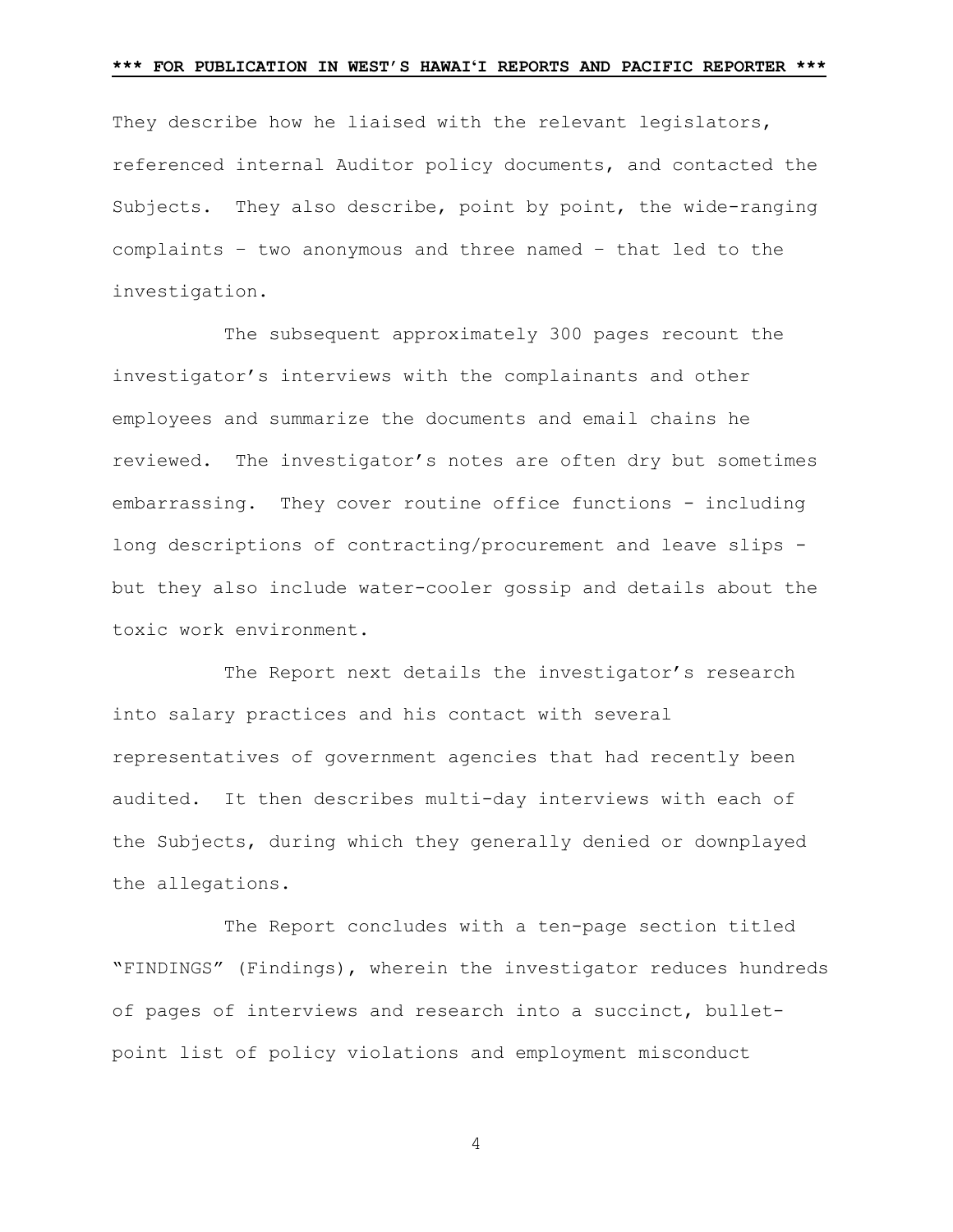They describe how he liaised with the relevant legislators, referenced internal Auditor policy documents, and contacted the Subjects. They also describe, point by point, the wide-ranging complaints – two anonymous and three named – that led to the investigation.

The subsequent approximately 300 pages recount the investigator's interviews with the complainants and other employees and summarize the documents and email chains he reviewed. The investigator's notes are often dry but sometimes embarrassing. They cover routine office functions - including long descriptions of contracting/procurement and leave slips but they also include water-cooler gossip and details about the toxic work environment.

The Report next details the investigator's research into salary practices and his contact with several representatives of government agencies that had recently been audited. It then describes multi-day interviews with each of the Subjects, during which they generally denied or downplayed the allegations.

The Report concludes with a ten-page section titled "FINDINGS" (Findings), wherein the investigator reduces hundreds of pages of interviews and research into a succinct, bulletpoint list of policy violations and employment misconduct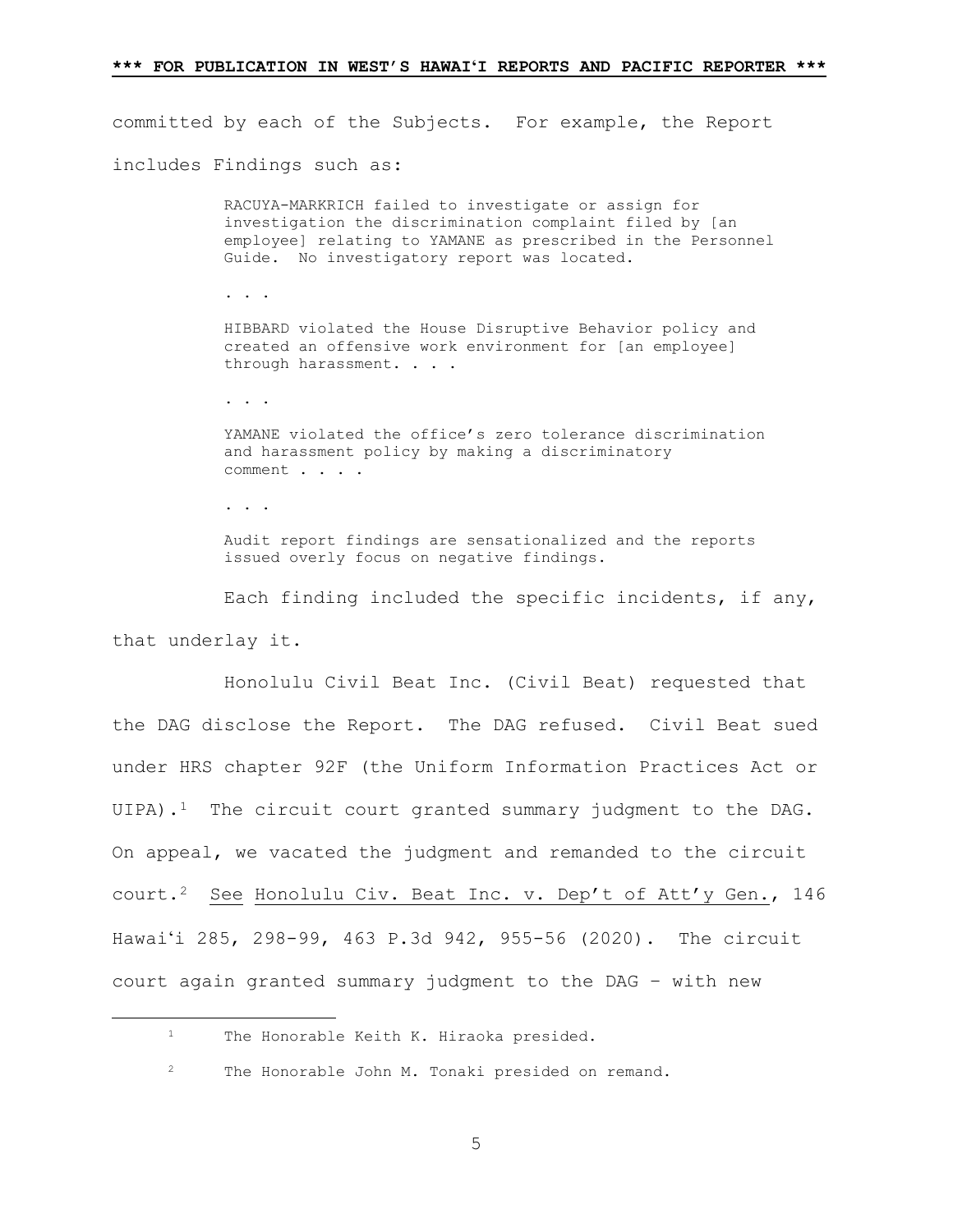committed by each of the Subjects. For example, the Report includes Findings such as:

> RACUYA-MARKRICH failed to investigate or assign for investigation the discrimination complaint filed by [an employee] relating to YAMANE as prescribed in the Personnel Guide. No investigatory report was located.

. . .

HIBBARD violated the House Disruptive Behavior policy and created an offensive work environment for [an employee] through harassment. . . .

. . . .

YAMANE violated the office's zero tolerance discrimination and harassment policy by making a discriminatory comment . . . .

. . .

Audit report findings are sensationalized and the reports issued overly focus on negative findings.

Each finding included the specific incidents, if any, that underlay it.

Honolulu Civil Beat Inc. (Civil Beat) requested that the DAG disclose the Report. The DAG refused. Civil Beat sued under HRS chapter 92F (the Uniform Information Practices Act or UIPA).<sup>1</sup> The circuit court granted summary judgment to the DAG. On appeal, we vacated the judgment and remanded to the circuit court.[2](#page-4-1) See Honolulu Civ. Beat Inc. v. Dep't of Att'y Gen., 146 Hawai'i 285, 298-99, 463 P.3d 942, 955-56 (2020). The circuit court again granted summary judgment to the DAG – with new

<span id="page-4-0"></span><sup>&</sup>lt;sup>1</sup> The Honorable Keith K. Hiraoka presided.

<span id="page-4-1"></span><sup>2</sup> The Honorable John M. Tonaki presided on remand.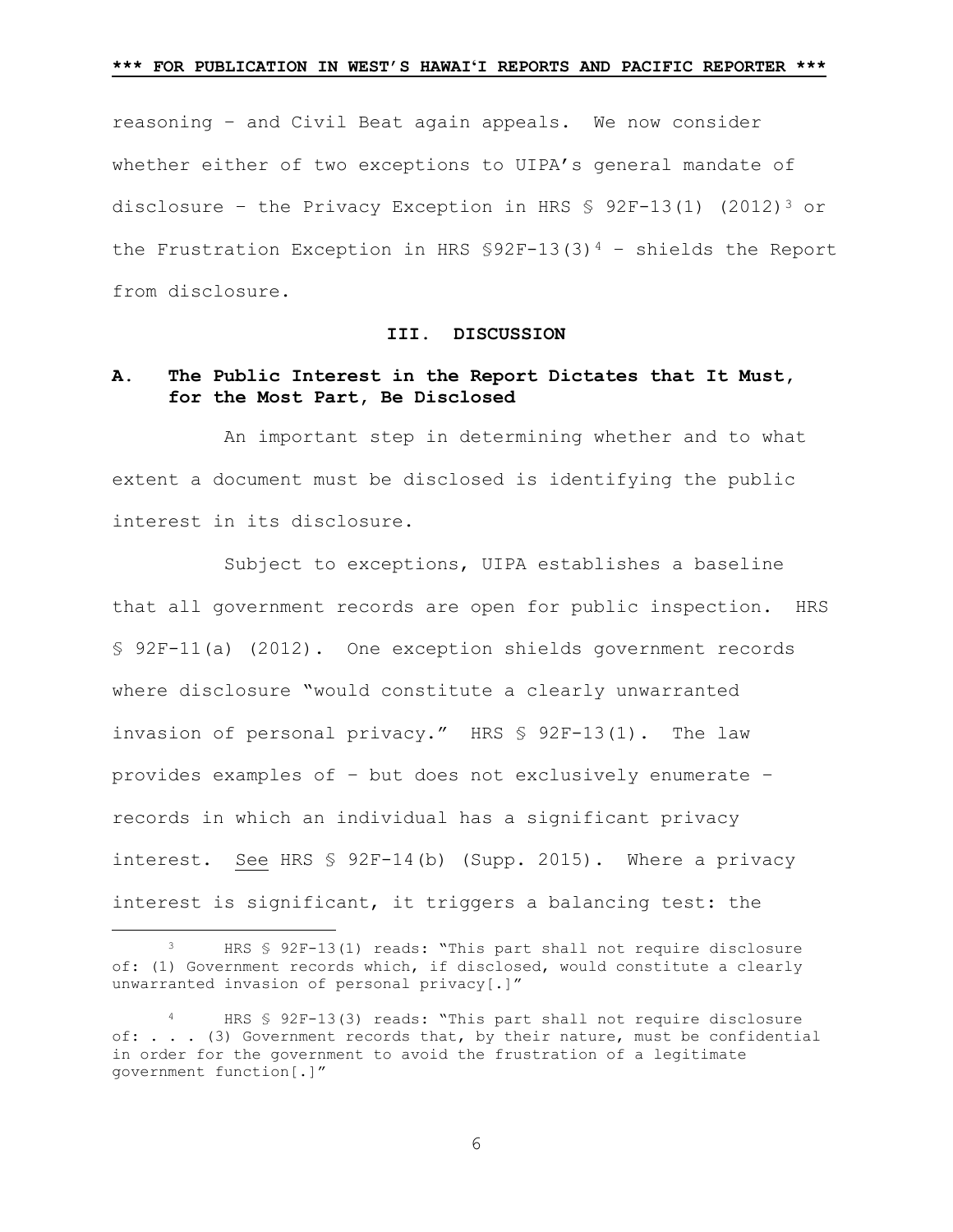reasoning – and Civil Beat again appeals. We now consider whether either of two exceptions to UIPA's general mandate of disclosure - the Privacy Exception in HRS  $$ 92F-13(1) (2012)^3$  or the Frustration Exception in HRS  $$92F-13(3)^4$  $$92F-13(3)^4$  - shields the Report from disclosure.

### **III. DISCUSSION**

# **A. The Public Interest in the Report Dictates that It Must, for the Most Part, Be Disclosed**

An important step in determining whether and to what extent a document must be disclosed is identifying the public interest in its disclosure.

Subject to exceptions, UIPA establishes a baseline that all government records are open for public inspection. HRS § 92F-11(a) (2012). One exception shields government records where disclosure "would constitute a clearly unwarranted invasion of personal privacy." HRS § 92F-13(1). The law provides examples of – but does not exclusively enumerate – records in which an individual has a significant privacy interest. See HRS § 92F-14(b) (Supp. 2015). Where a privacy interest is significant, it triggers a balancing test: the

<span id="page-5-0"></span> <sup>3</sup> HRS § 92F-13(1) reads: "This part shall not require disclosure of: (1) Government records which, if disclosed, would constitute a clearly unwarranted invasion of personal privacy[.]"

<span id="page-5-1"></span>HRS § 92F-13(3) reads: "This part shall not require disclosure of: . . . (3) Government records that, by their nature, must be confidential in order for the government to avoid the frustration of a legitimate government function[.]"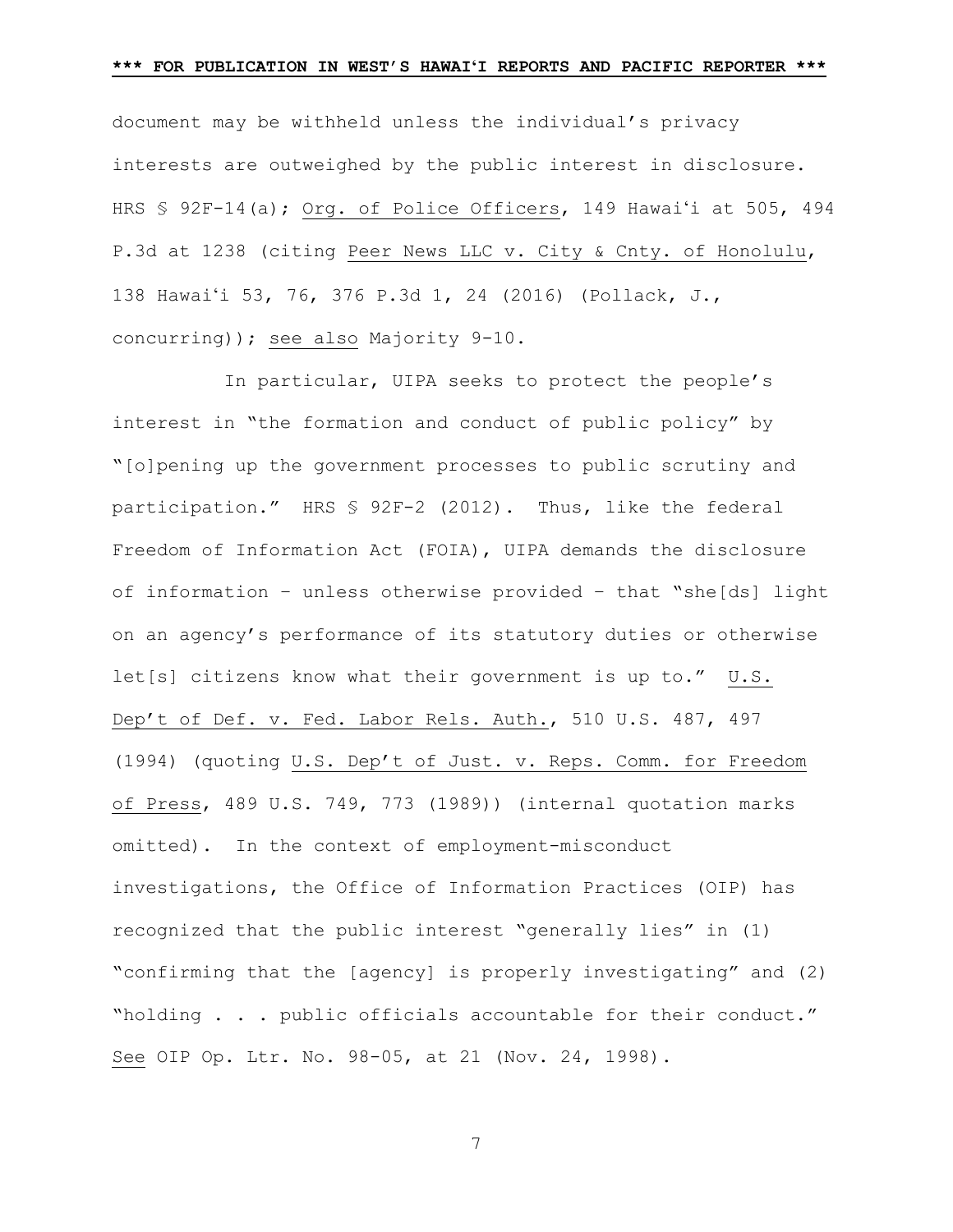document may be withheld unless the individual's privacy interests are outweighed by the public interest in disclosure. HRS § 92F-14(a); Org. of Police Officers, 149 Hawai'i at 505, 494 P.3d at 1238 (citing Peer News LLC v. City & Cnty. of Honolulu, 138 Hawai'i 53, 76, 376 P.3d 1, 24 (2016) (Pollack, J., concurring)); see also Majority 9-10.

In particular, UIPA seeks to protect the people's interest in "the formation and conduct of public policy" by "[o]pening up the government processes to public scrutiny and participation." HRS § 92F-2 (2012). Thus, like the federal Freedom of Information Act (FOIA), UIPA demands the disclosure of information – unless otherwise provided – that "she[ds] light on an agency's performance of its statutory duties or otherwise let[s] citizens know what their government is up to." U.S. Dep't of Def. v. Fed. Labor Rels. Auth., 510 U.S. 487, 497 (1994) (quoting U.S. Dep't of Just. v. Reps. Comm. for Freedom of Press, 489 U.S. 749, 773 (1989)) (internal quotation marks omitted). In the context of employment-misconduct investigations, the Office of Information Practices (OIP) has recognized that the public interest "generally lies" in (1) "confirming that the [agency] is properly investigating" and (2) "holding . . . public officials accountable for their conduct." See OIP Op. Ltr. No. 98-05, at 21 (Nov. 24, 1998).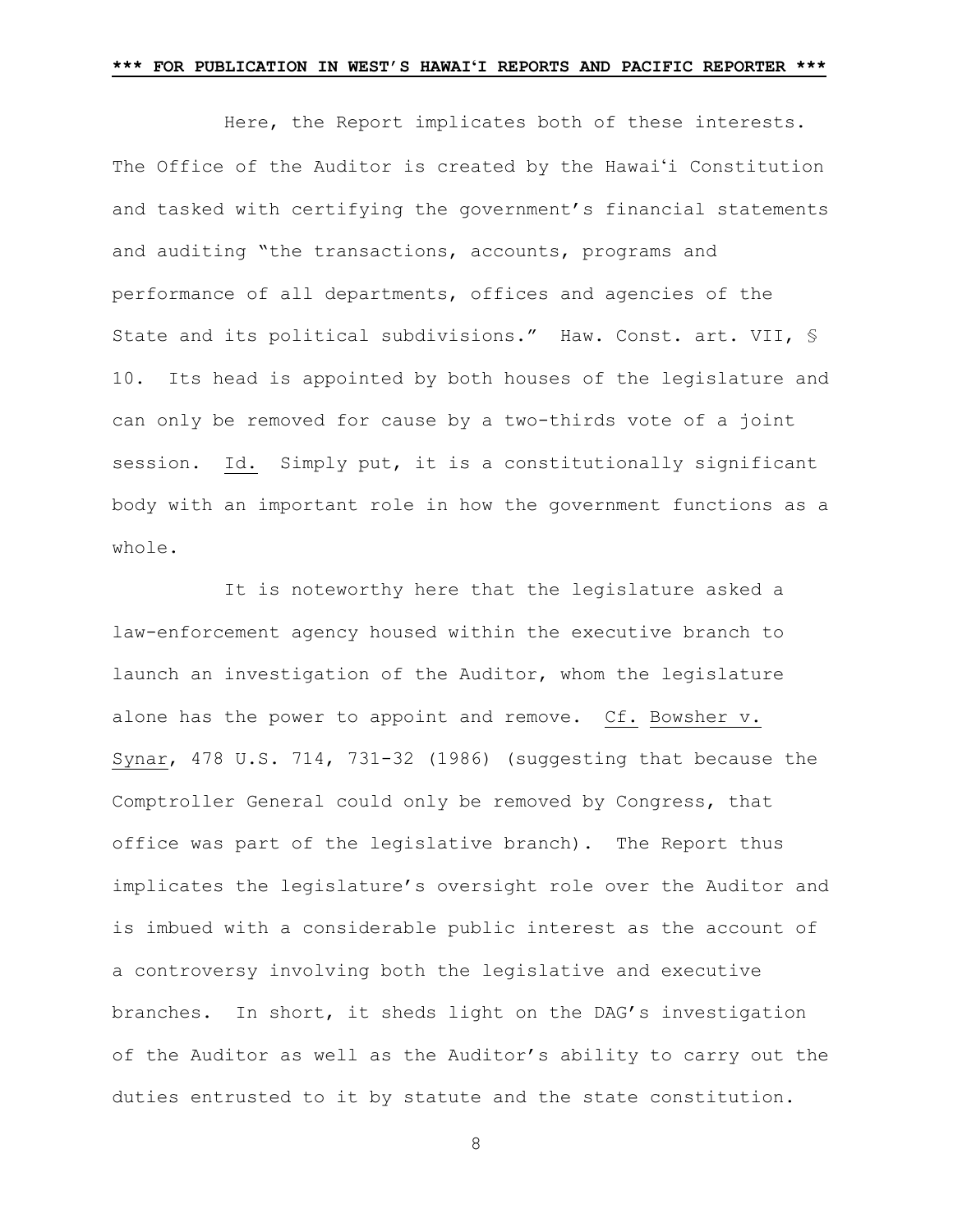Here, the Report implicates both of these interests. The Office of the Auditor is created by the Hawai'i Constitution and tasked with certifying the government's financial statements and auditing "the transactions, accounts, programs and performance of all departments, offices and agencies of the State and its political subdivisions." Haw. Const. art. VII, § 10. Its head is appointed by both houses of the legislature and can only be removed for cause by a two-thirds vote of a joint session. Id. Simply put, it is a constitutionally significant body with an important role in how the government functions as a whole.

It is noteworthy here that the legislature asked a law-enforcement agency housed within the executive branch to launch an investigation of the Auditor, whom the legislature alone has the power to appoint and remove. Cf. Bowsher v. Synar, 478 U.S. 714, 731-32 (1986) (suggesting that because the Comptroller General could only be removed by Congress, that office was part of the legislative branch). The Report thus implicates the legislature's oversight role over the Auditor and is imbued with a considerable public interest as the account of a controversy involving both the legislative and executive branches. In short, it sheds light on the DAG's investigation of the Auditor as well as the Auditor's ability to carry out the duties entrusted to it by statute and the state constitution.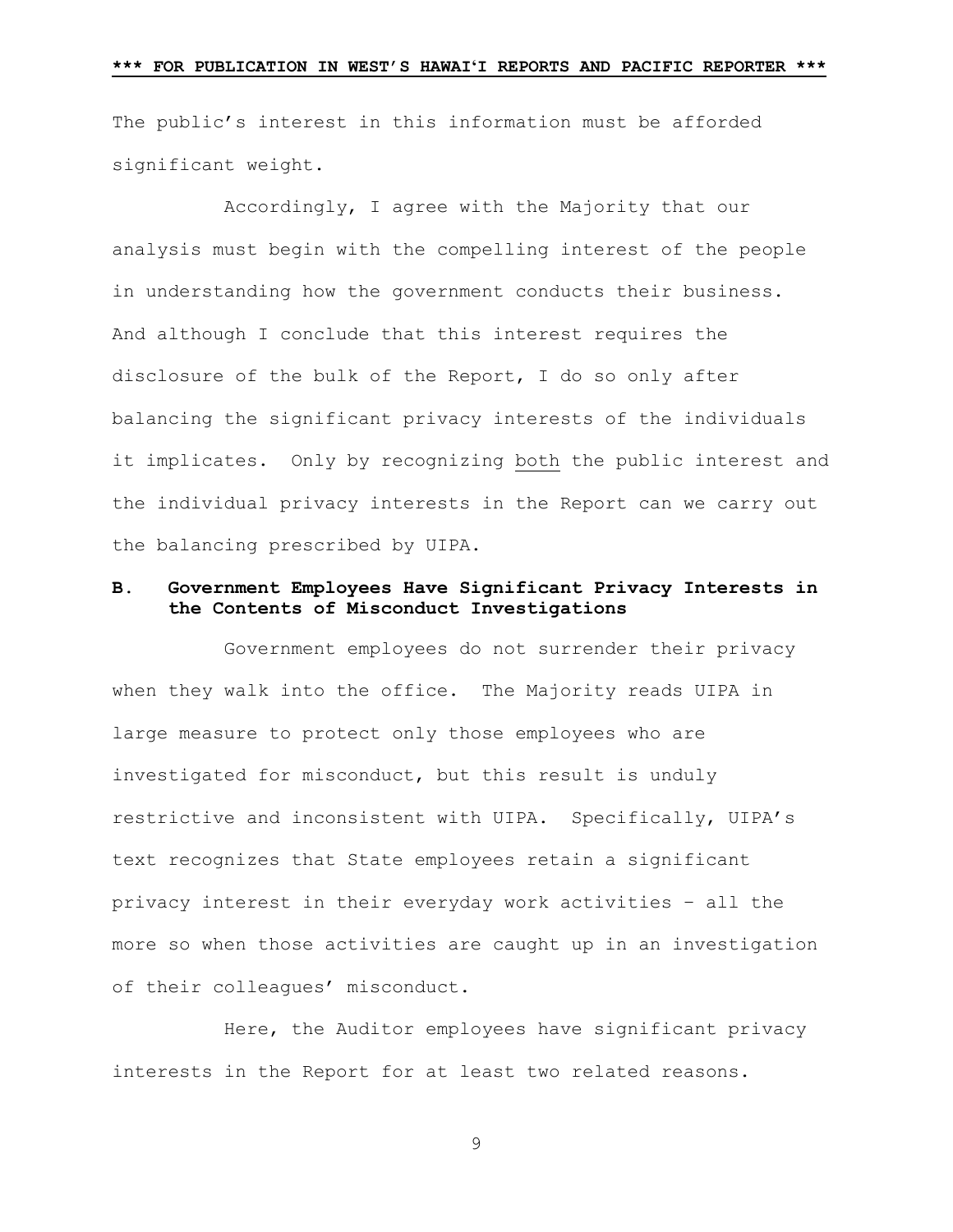The public's interest in this information must be afforded significant weight.

Accordingly, I agree with the Majority that our analysis must begin with the compelling interest of the people in understanding how the government conducts their business. And although I conclude that this interest requires the disclosure of the bulk of the Report, I do so only after balancing the significant privacy interests of the individuals it implicates. Only by recognizing both the public interest and the individual privacy interests in the Report can we carry out the balancing prescribed by UIPA.

# **B. Government Employees Have Significant Privacy Interests in the Contents of Misconduct Investigations**

Government employees do not surrender their privacy when they walk into the office. The Majority reads UIPA in large measure to protect only those employees who are investigated for misconduct, but this result is unduly restrictive and inconsistent with UIPA. Specifically, UIPA's text recognizes that State employees retain a significant privacy interest in their everyday work activities – all the more so when those activities are caught up in an investigation of their colleagues' misconduct.

Here, the Auditor employees have significant privacy interests in the Report for at least two related reasons.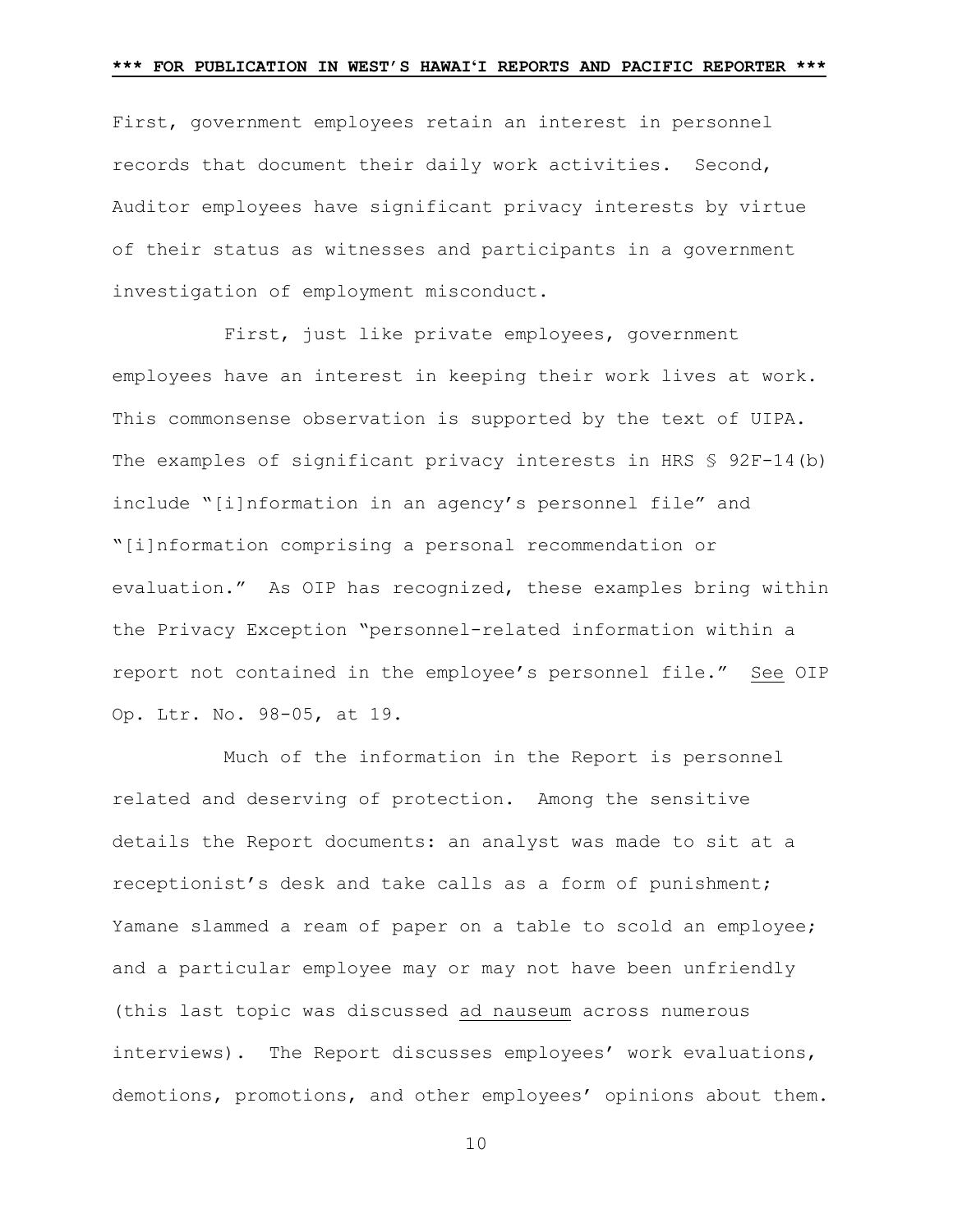First, government employees retain an interest in personnel records that document their daily work activities. Second, Auditor employees have significant privacy interests by virtue of their status as witnesses and participants in a government investigation of employment misconduct.

First, just like private employees, government employees have an interest in keeping their work lives at work. This commonsense observation is supported by the text of UIPA. The examples of significant privacy interests in HRS § 92F-14(b) include "[i]nformation in an agency's personnel file" and "[i]nformation comprising a personal recommendation or evaluation." As OIP has recognized, these examples bring within the Privacy Exception "personnel-related information within a report not contained in the employee's personnel file." See OIP Op. Ltr. No. 98-05, at 19.

Much of the information in the Report is personnel related and deserving of protection. Among the sensitive details the Report documents: an analyst was made to sit at a receptionist's desk and take calls as a form of punishment; Yamane slammed a ream of paper on a table to scold an employee; and a particular employee may or may not have been unfriendly (this last topic was discussed ad nauseum across numerous interviews). The Report discusses employees' work evaluations, demotions, promotions, and other employees' opinions about them.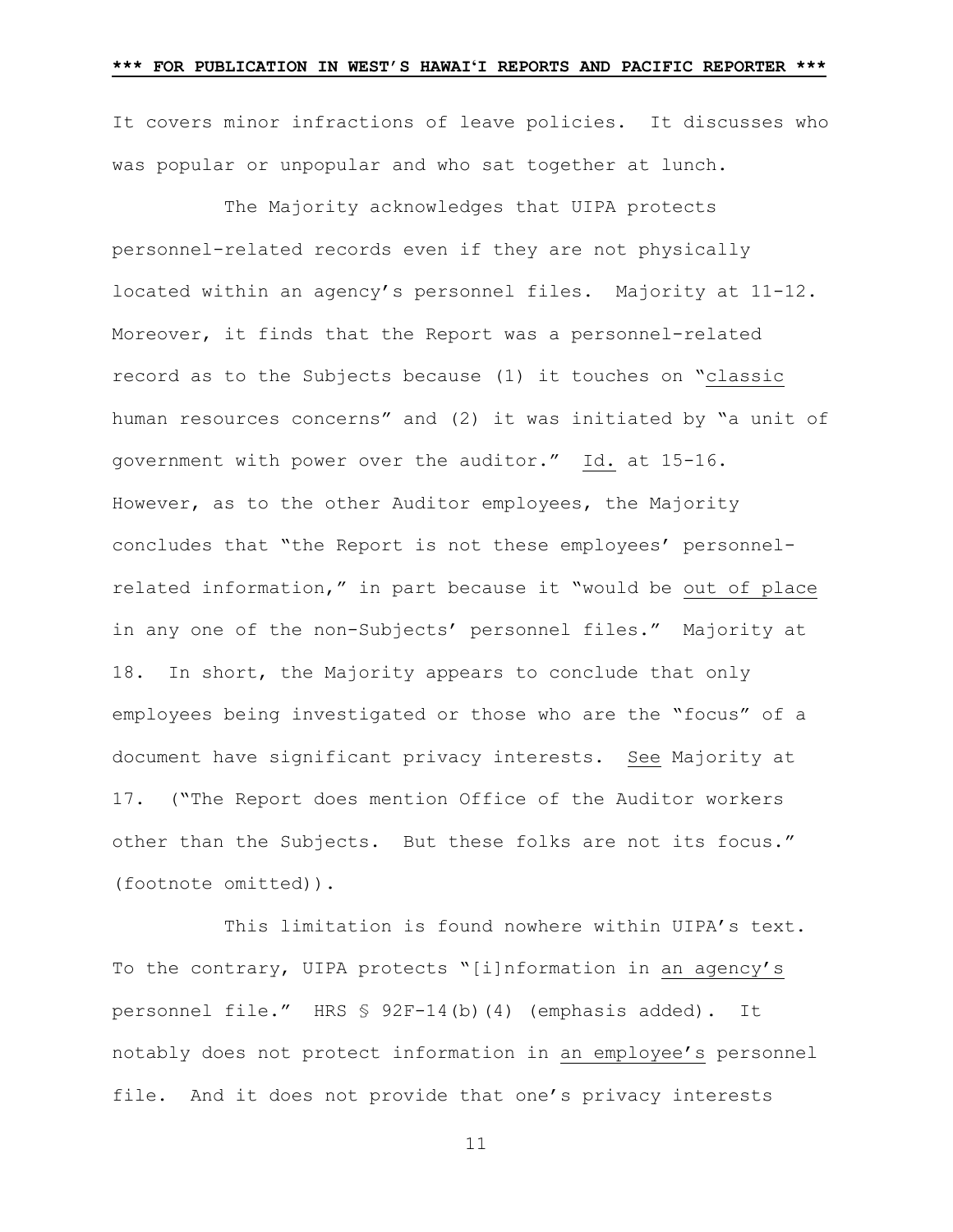It covers minor infractions of leave policies. It discusses who was popular or unpopular and who sat together at lunch.

The Majority acknowledges that UIPA protects personnel-related records even if they are not physically located within an agency's personnel files. Majority at 11-12. Moreover, it finds that the Report was a personnel-related record as to the Subjects because (1) it touches on "classic human resources concerns" and (2) it was initiated by "a unit of government with power over the auditor." Id. at 15-16. However, as to the other Auditor employees, the Majority concludes that "the Report is not these employees' personnelrelated information," in part because it "would be out of place in any one of the non-Subjects' personnel files." Majority at 18. In short, the Majority appears to conclude that only employees being investigated or those who are the "focus" of a document have significant privacy interests. See Majority at 17. ("The Report does mention Office of the Auditor workers other than the Subjects. But these folks are not its focus." (footnote omitted)).

This limitation is found nowhere within UIPA's text. To the contrary, UIPA protects "[i]nformation in an agency's personnel file." HRS § 92F-14(b)(4) (emphasis added). It notably does not protect information in an employee's personnel file. And it does not provide that one's privacy interests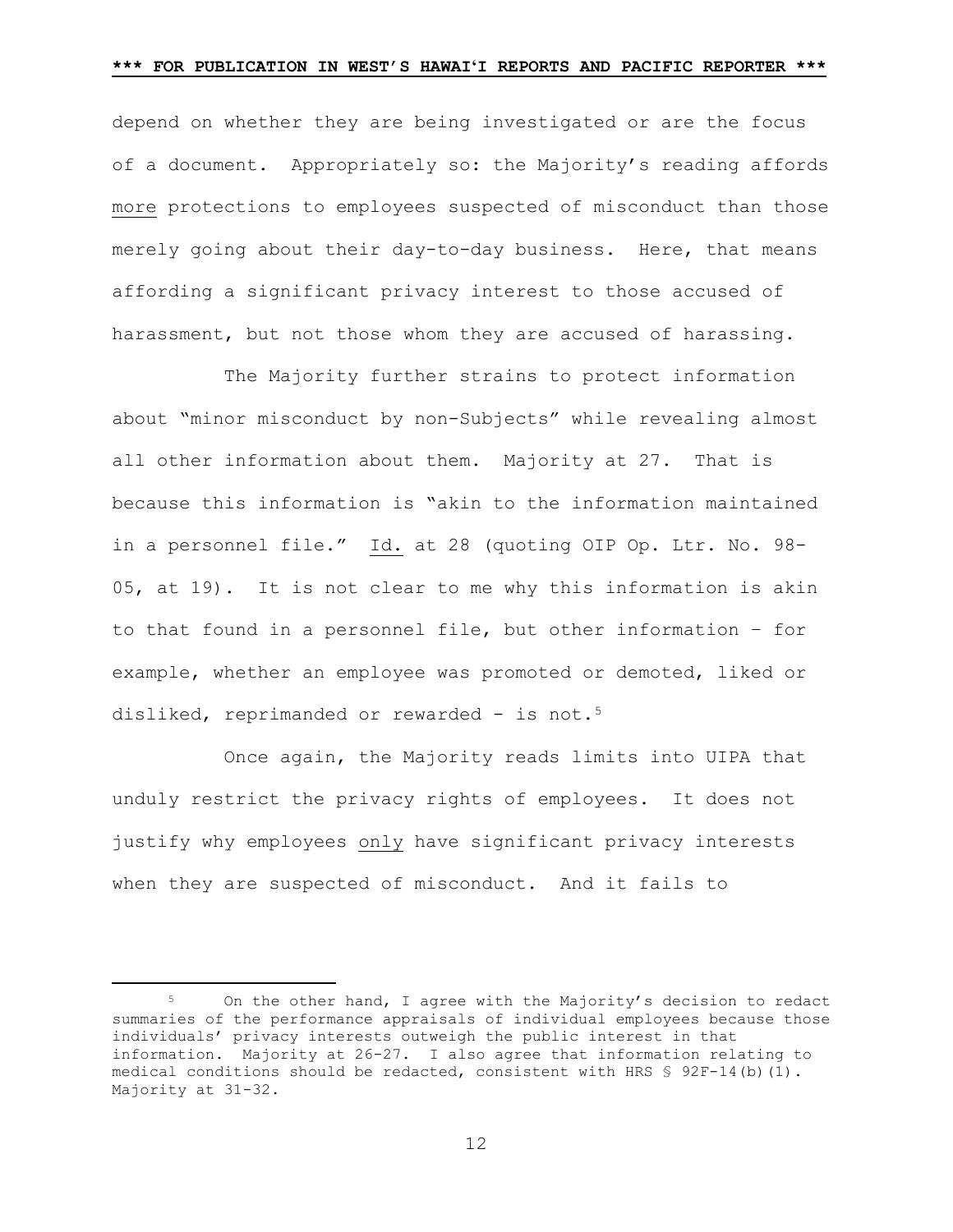depend on whether they are being investigated or are the focus of a document. Appropriately so: the Majority's reading affords more protections to employees suspected of misconduct than those merely going about their day-to-day business. Here, that means affording a significant privacy interest to those accused of harassment, but not those whom they are accused of harassing.

The Majority further strains to protect information about "minor misconduct by non-Subjects" while revealing almost all other information about them. Majority at 27. That is because this information is "akin to the information maintained in a personnel file." Id. at 28 (quoting OIP Op. Ltr. No. 98- 05, at 19). It is not clear to me why this information is akin to that found in a personnel file, but other information – for example, whether an employee was promoted or demoted, liked or disliked, reprimanded or rewarded - is not.<sup>5</sup>

Once again, the Majority reads limits into UIPA that unduly restrict the privacy rights of employees. It does not justify why employees only have significant privacy interests when they are suspected of misconduct. And it fails to

<span id="page-11-0"></span>On the other hand, I agree with the Majority's decision to redact summaries of the performance appraisals of individual employees because those individuals' privacy interests outweigh the public interest in that information. Majority at 26-27. I also agree that information relating to medical conditions should be redacted, consistent with HRS  $$ 92F-14(b)(1)$ . Majority at 31-32.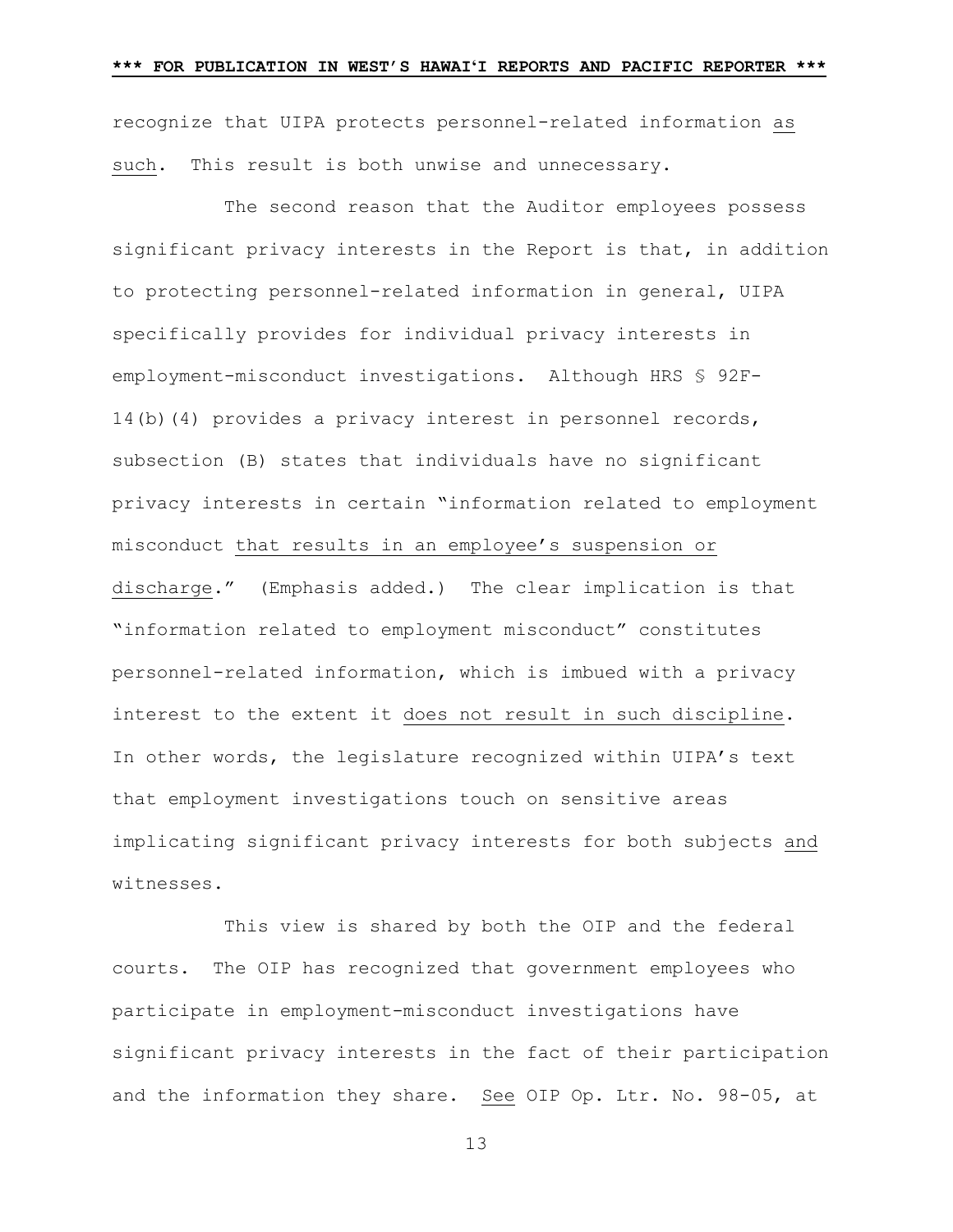recognize that UIPA protects personnel-related information as such. This result is both unwise and unnecessary.

The second reason that the Auditor employees possess significant privacy interests in the Report is that, in addition to protecting personnel-related information in general, UIPA specifically provides for individual privacy interests in employment-misconduct investigations. Although HRS § 92F-14(b)(4) provides a privacy interest in personnel records, subsection (B) states that individuals have no significant privacy interests in certain "information related to employment misconduct that results in an employee's suspension or discharge." (Emphasis added.) The clear implication is that "information related to employment misconduct" constitutes personnel-related information, which is imbued with a privacy interest to the extent it does not result in such discipline. In other words, the legislature recognized within UIPA's text that employment investigations touch on sensitive areas implicating significant privacy interests for both subjects and witnesses.

This view is shared by both the OIP and the federal courts. The OIP has recognized that government employees who participate in employment-misconduct investigations have significant privacy interests in the fact of their participation and the information they share. See OIP Op. Ltr. No. 98-05, at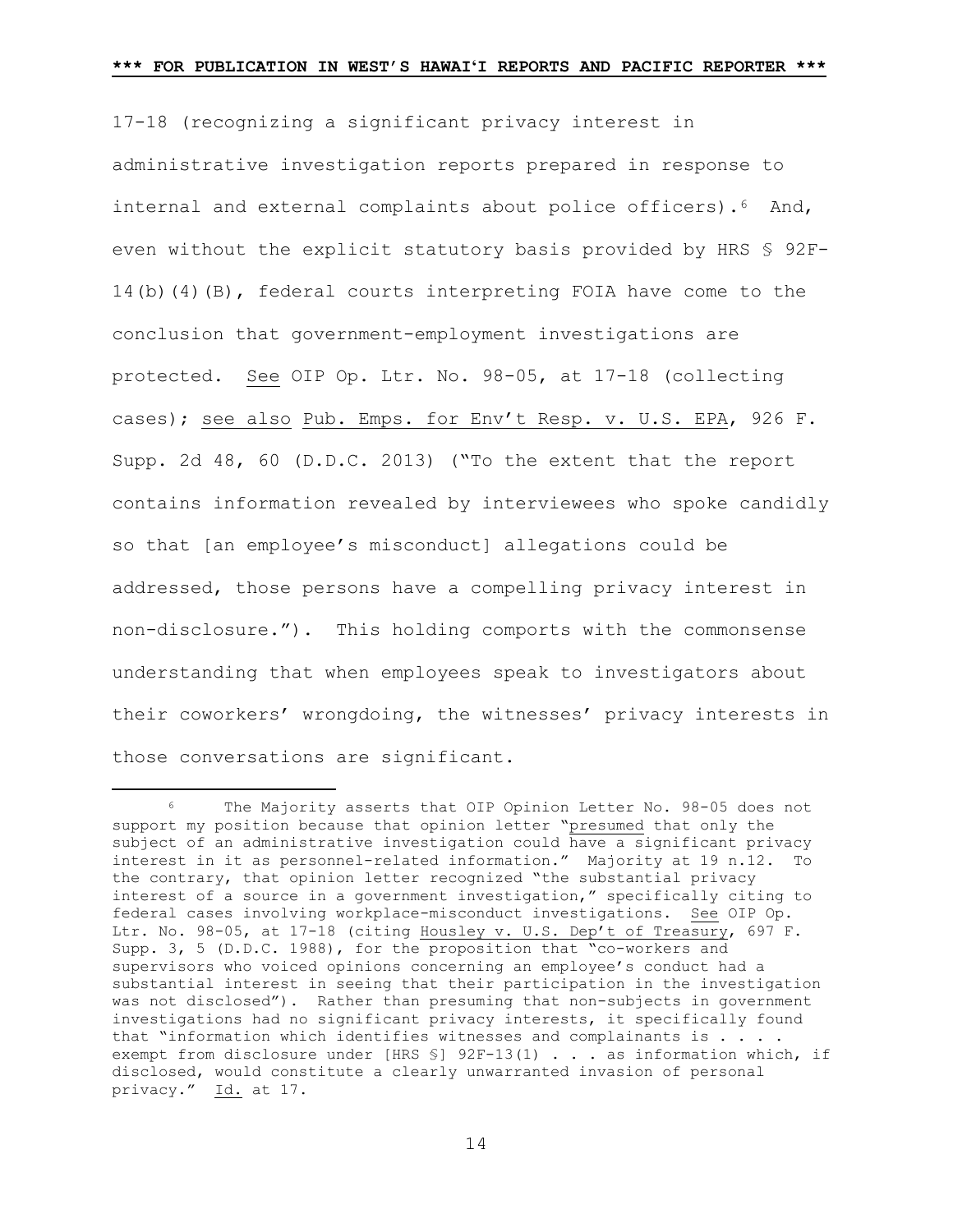17-18 (recognizing a significant privacy interest in administrative investigation reports prepared in response to internal and external complaints about police officers).<sup>6</sup> And, even without the explicit statutory basis provided by HRS § 92F-14(b)(4)(B), federal courts interpreting FOIA have come to the conclusion that government-employment investigations are protected. See OIP Op. Ltr. No. 98-05, at 17-18 (collecting cases); see also Pub. Emps. for Env't Resp. v. U.S. EPA, 926 F. Supp. 2d 48, 60 (D.D.C. 2013) ("To the extent that the report contains information revealed by interviewees who spoke candidly so that [an employee's misconduct] allegations could be addressed, those persons have a compelling privacy interest in non-disclosure."). This holding comports with the commonsense understanding that when employees speak to investigators about their coworkers' wrongdoing, the witnesses' privacy interests in those conversations are significant.

<span id="page-13-0"></span> <sup>6</sup> The Majority asserts that OIP Opinion Letter No. 98-05 does not support my position because that opinion letter "presumed that only the subject of an administrative investigation could have a significant privacy interest in it as personnel-related information." Majority at 19 n.12. To the contrary, that opinion letter recognized "the substantial privacy interest of a source in a government investigation," specifically citing to federal cases involving workplace-misconduct investigations. See OIP Op. Ltr. No. 98-05, at 17-18 (citing Housley v. U.S. Dep't of Treasury, 697 F. Supp. 3, 5 (D.D.C. 1988), for the proposition that "co-workers and supervisors who voiced opinions concerning an employee's conduct had a substantial interest in seeing that their participation in the investigation was not disclosed"). Rather than presuming that non-subjects in government investigations had no significant privacy interests, it specifically found that "information which identifies witnesses and complainants is . . . . exempt from disclosure under [HRS §] 92F-13(1) . . . as information which, if disclosed, would constitute a clearly unwarranted invasion of personal privacy." Id. at 17.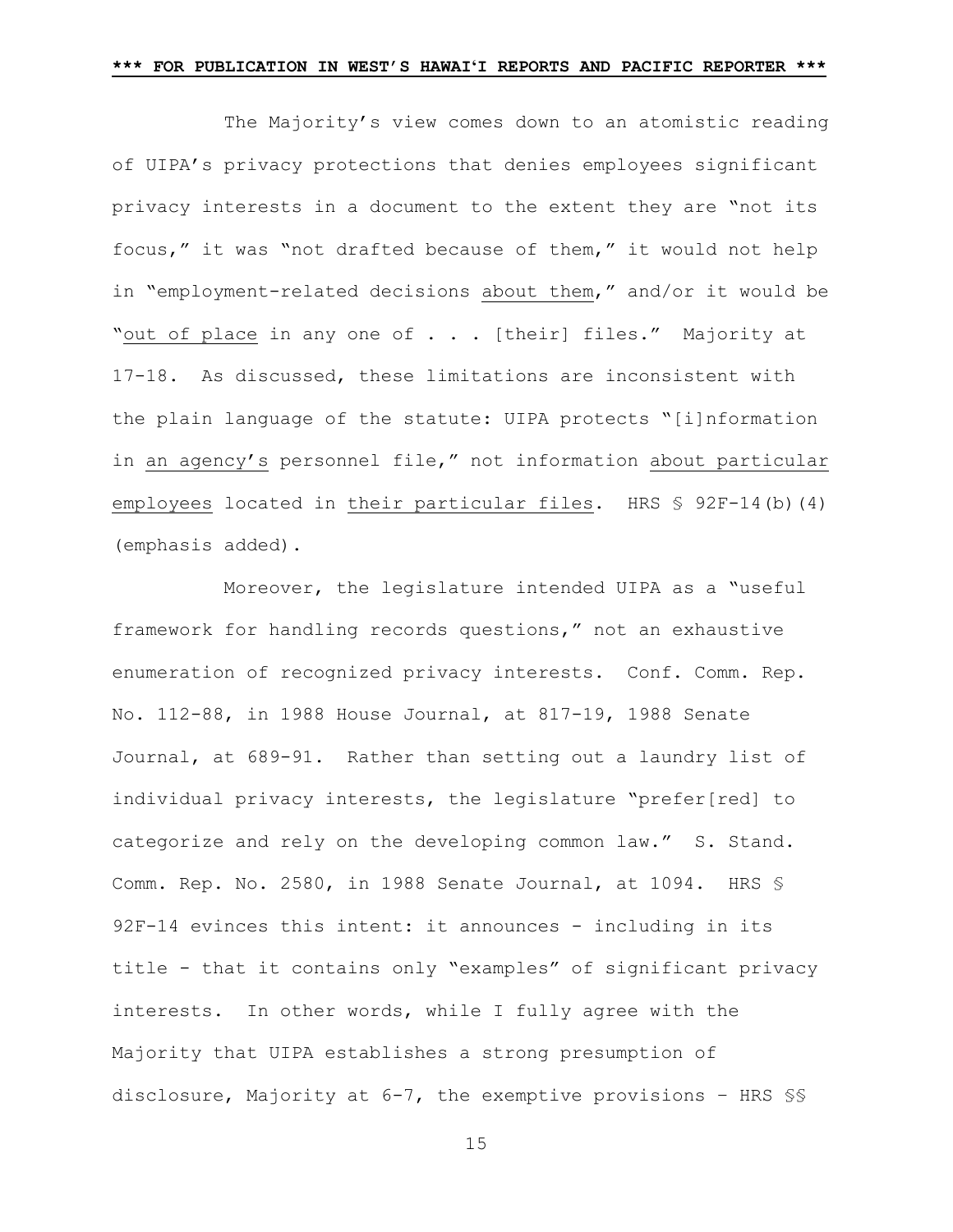The Majority's view comes down to an atomistic reading of UIPA's privacy protections that denies employees significant privacy interests in a document to the extent they are "not its focus," it was "not drafted because of them," it would not help in "employment-related decisions about them," and/or it would be "out of place in any one of . . . [their] files." Majority at 17-18. As discussed, these limitations are inconsistent with the plain language of the statute: UIPA protects "[i]nformation in an agency's personnel file," not information about particular employees located in their particular files. HRS § 92F-14(b)(4) (emphasis added).

Moreover, the legislature intended UIPA as a "useful framework for handling records questions," not an exhaustive enumeration of recognized privacy interests. Conf. Comm. Rep. No. 112-88, in 1988 House Journal, at 817-19, 1988 Senate Journal, at 689-91. Rather than setting out a laundry list of individual privacy interests, the legislature "prefer[red] to categorize and rely on the developing common law." S. Stand. Comm. Rep. No. 2580, in 1988 Senate Journal, at 1094. HRS § 92F-14 evinces this intent: it announces - including in its title - that it contains only "examples" of significant privacy interests. In other words, while I fully agree with the Majority that UIPA establishes a strong presumption of disclosure, Majority at 6-7, the exemptive provisions – HRS §§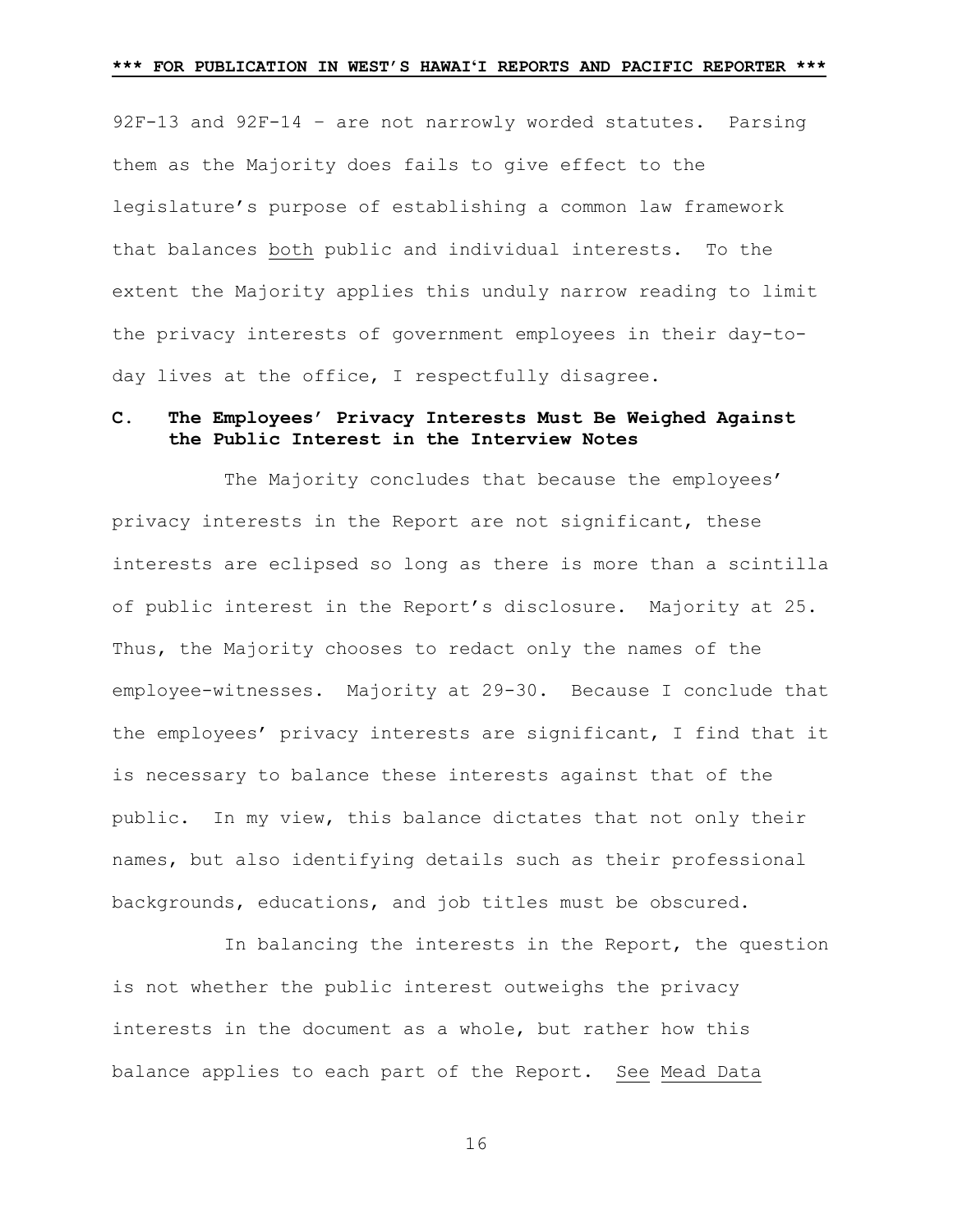92F-13 and 92F-14 – are not narrowly worded statutes. Parsing them as the Majority does fails to give effect to the legislature's purpose of establishing a common law framework that balances both public and individual interests. To the extent the Majority applies this unduly narrow reading to limit the privacy interests of government employees in their day-today lives at the office, I respectfully disagree.

# **C. The Employees' Privacy Interests Must Be Weighed Against the Public Interest in the Interview Notes**

The Majority concludes that because the employees' privacy interests in the Report are not significant, these interests are eclipsed so long as there is more than a scintilla of public interest in the Report's disclosure. Majority at 25. Thus, the Majority chooses to redact only the names of the employee-witnesses. Majority at 29-30. Because I conclude that the employees' privacy interests are significant, I find that it is necessary to balance these interests against that of the public. In my view, this balance dictates that not only their names, but also identifying details such as their professional backgrounds, educations, and job titles must be obscured.

In balancing the interests in the Report, the question is not whether the public interest outweighs the privacy interests in the document as a whole, but rather how this balance applies to each part of the Report. See Mead Data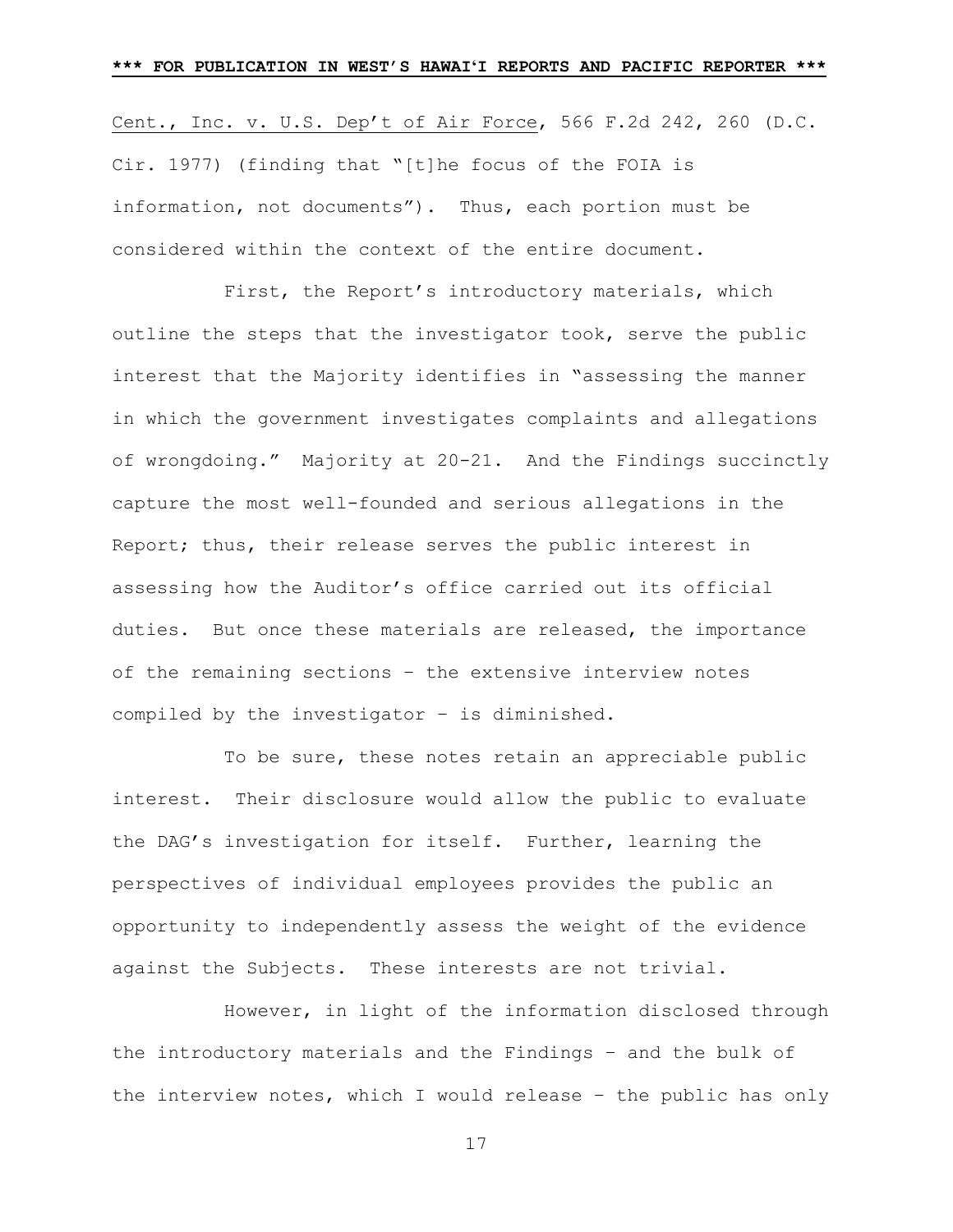Cent., Inc. v. U.S. Dep't of Air Force, 566 F.2d 242, 260 (D.C. Cir. 1977) (finding that "[t]he focus of the FOIA is information, not documents"). Thus, each portion must be considered within the context of the entire document.

First, the Report's introductory materials, which outline the steps that the investigator took, serve the public interest that the Majority identifies in "assessing the manner in which the government investigates complaints and allegations of wrongdoing." Majority at 20-21. And the Findings succinctly capture the most well-founded and serious allegations in the Report; thus, their release serves the public interest in assessing how the Auditor's office carried out its official duties. But once these materials are released, the importance of the remaining sections – the extensive interview notes compiled by the investigator – is diminished.

To be sure, these notes retain an appreciable public interest. Their disclosure would allow the public to evaluate the DAG's investigation for itself. Further, learning the perspectives of individual employees provides the public an opportunity to independently assess the weight of the evidence against the Subjects. These interests are not trivial.

However, in light of the information disclosed through the introductory materials and the Findings – and the bulk of the interview notes, which I would release – the public has only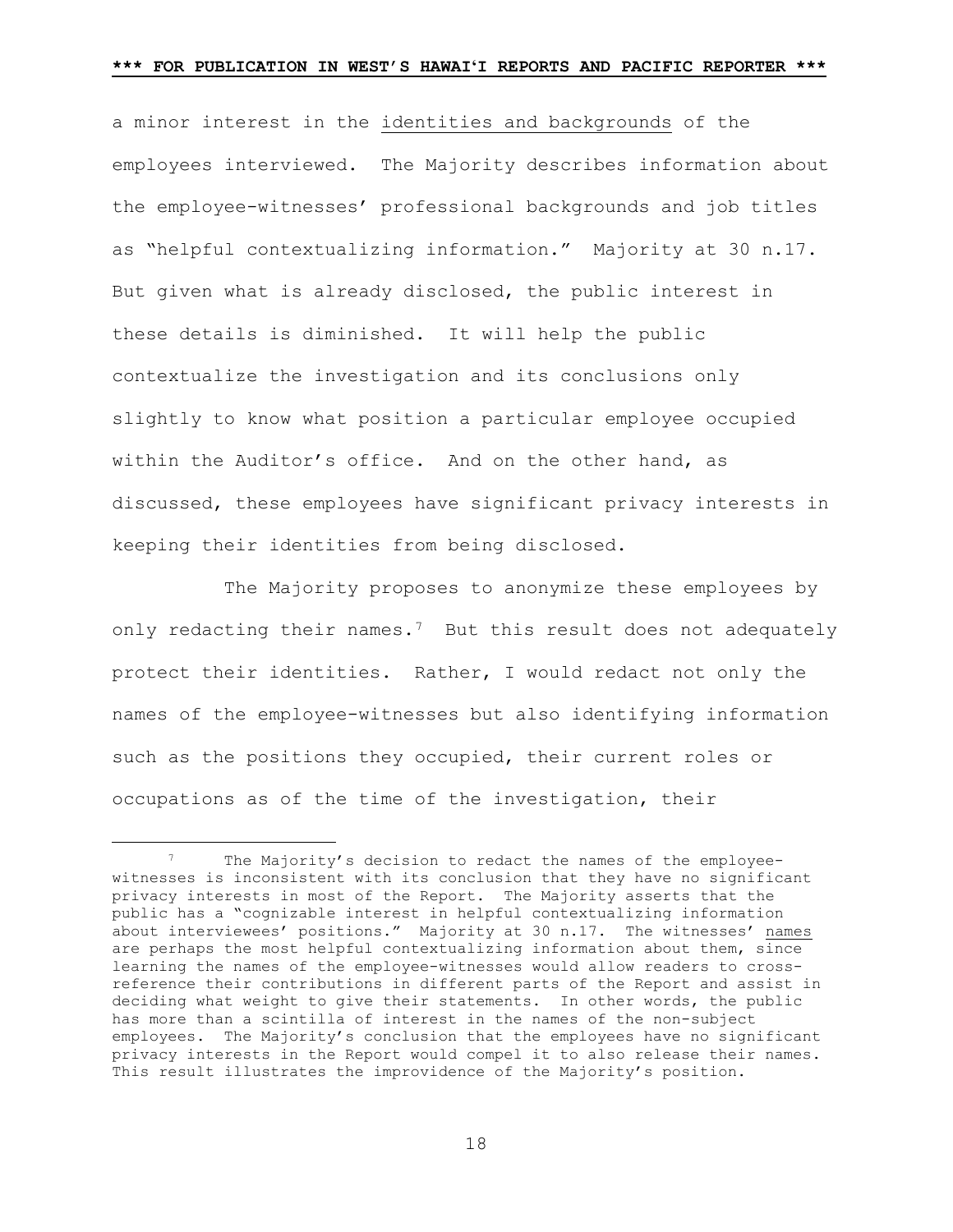a minor interest in the identities and backgrounds of the employees interviewed. The Majority describes information about the employee-witnesses' professional backgrounds and job titles as "helpful contextualizing information." Majority at 30 n.17. But given what is already disclosed, the public interest in these details is diminished. It will help the public contextualize the investigation and its conclusions only slightly to know what position a particular employee occupied within the Auditor's office. And on the other hand, as discussed, these employees have significant privacy interests in keeping their identities from being disclosed.

The Majority proposes to anonymize these employees by only redacting their names.[7](#page-17-0) But this result does not adequately protect their identities. Rather, I would redact not only the names of the employee-witnesses but also identifying information such as the positions they occupied, their current roles or occupations as of the time of the investigation, their

<span id="page-17-0"></span><sup>7</sup> The Majority's decision to redact the names of the employeewitnesses is inconsistent with its conclusion that they have no significant privacy interests in most of the Report. The Majority asserts that the public has a "cognizable interest in helpful contextualizing information about interviewees' positions." Majority at 30 n.17. The witnesses' names are perhaps the most helpful contextualizing information about them, since learning the names of the employee-witnesses would allow readers to crossreference their contributions in different parts of the Report and assist in deciding what weight to give their statements. In other words, the public has more than a scintilla of interest in the names of the non-subject employees. The Majority's conclusion that the employees have no significant privacy interests in the Report would compel it to also release their names. This result illustrates the improvidence of the Majority's position.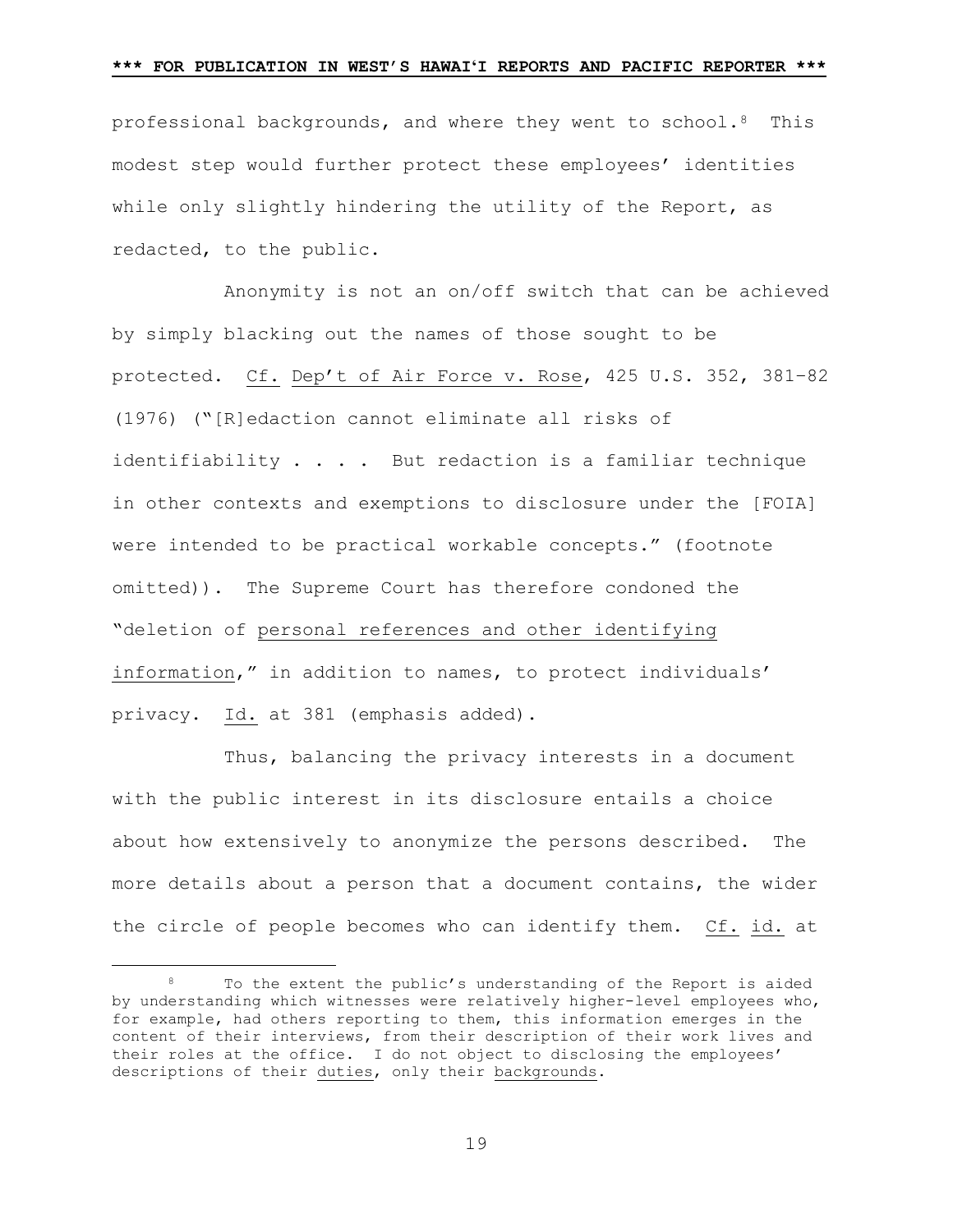professional backgrounds, and where they went to school.[8](#page-18-0) This modest step would further protect these employees' identities while only slightly hindering the utility of the Report, as redacted, to the public.

Anonymity is not an on/off switch that can be achieved by simply blacking out the names of those sought to be protected. Cf. Dep't of Air Force v. Rose, 425 U.S. 352, 381–82 (1976) ("[R]edaction cannot eliminate all risks of identifiability . . . . But redaction is a familiar technique in other contexts and exemptions to disclosure under the [FOIA] were intended to be practical workable concepts." (footnote omitted)). The Supreme Court has therefore condoned the "deletion of personal references and other identifying information," in addition to names, to protect individuals' privacy. Id. at 381 (emphasis added).

Thus, balancing the privacy interests in a document with the public interest in its disclosure entails a choice about how extensively to anonymize the persons described. The more details about a person that a document contains, the wider the circle of people becomes who can identify them. Cf. id. at

<span id="page-18-0"></span><sup>8</sup> To the extent the public's understanding of the Report is aided by understanding which witnesses were relatively higher-level employees who, for example, had others reporting to them, this information emerges in the content of their interviews, from their description of their work lives and their roles at the office. I do not object to disclosing the employees' descriptions of their duties, only their backgrounds.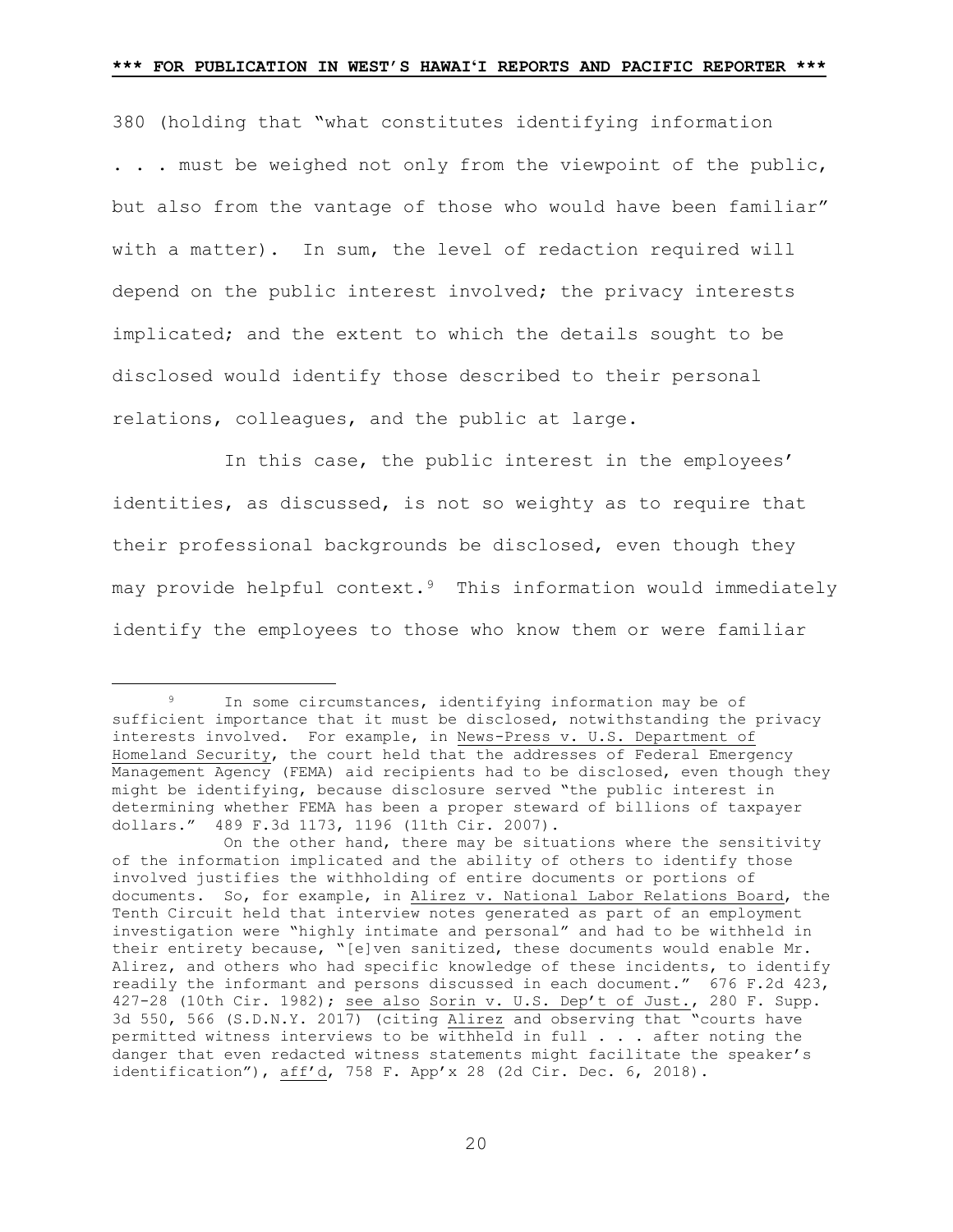380 (holding that "what constitutes identifying information . . . must be weighed not only from the viewpoint of the public, but also from the vantage of those who would have been familiar" with a matter). In sum, the level of redaction required will depend on the public interest involved; the privacy interests implicated; and the extent to which the details sought to be disclosed would identify those described to their personal relations, colleagues, and the public at large.

In this case, the public interest in the employees' identities, as discussed, is not so weighty as to require that their professional backgrounds be disclosed, even though they may provide helpful context.[9](#page-19-0) This information would immediately identify the employees to those who know them or were familiar

<span id="page-19-0"></span><sup>&</sup>lt;sup>9</sup> In some circumstances, identifying information may be of sufficient importance that it must be disclosed, notwithstanding the privacy interests involved. For example, in News-Press v. U.S. Department of Homeland Security, the court held that the addresses of Federal Emergency Management Agency (FEMA) aid recipients had to be disclosed, even though they might be identifying, because disclosure served "the public interest in determining whether FEMA has been a proper steward of billions of taxpayer dollars." 489 F.3d 1173, 1196 (11th Cir. 2007).

On the other hand, there may be situations where the sensitivity of the information implicated and the ability of others to identify those involved justifies the withholding of entire documents or portions of documents. So, for example, in Alirez v. National Labor Relations Board, the Tenth Circuit held that interview notes generated as part of an employment investigation were "highly intimate and personal" and had to be withheld in their entirety because, "[e]ven sanitized, these documents would enable Mr. Alirez, and others who had specific knowledge of these incidents, to identify readily the informant and persons discussed in each document." 676 F.2d 423, 427-28 (10th Cir. 1982); see also Sorin v. U.S. Dep't of Just., 280 F. Supp. 3d 550, 566 (S.D.N.Y. 2017) (citing Alirez and observing that "courts have permitted witness interviews to be withheld in full . . . after noting the danger that even redacted witness statements might facilitate the speaker's identification"), aff'd, 758 F. App'x 28 (2d Cir. Dec. 6, 2018).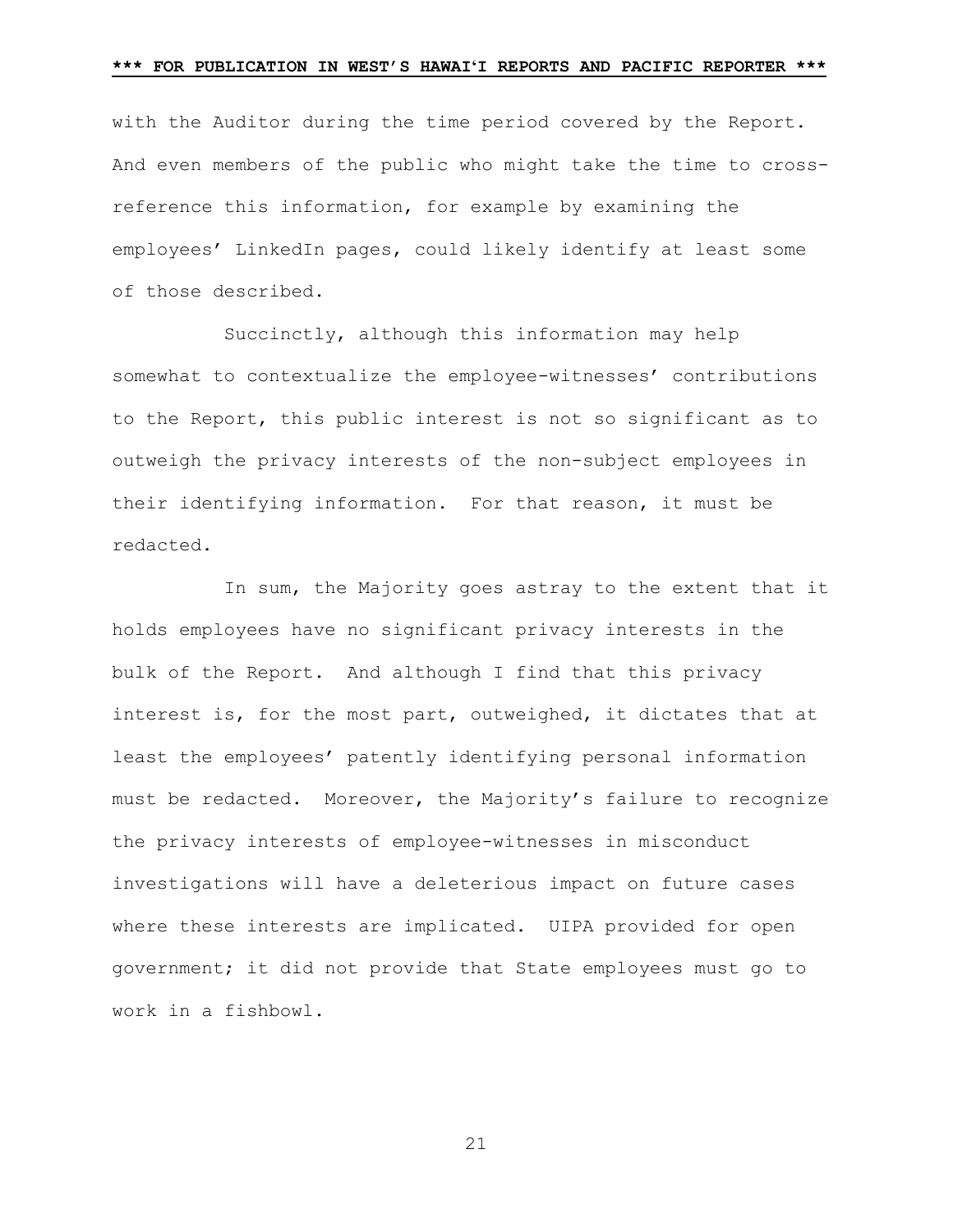with the Auditor during the time period covered by the Report. And even members of the public who might take the time to crossreference this information, for example by examining the employees' LinkedIn pages, could likely identify at least some of those described.

Succinctly, although this information may help somewhat to contextualize the employee-witnesses' contributions to the Report, this public interest is not so significant as to outweigh the privacy interests of the non-subject employees in their identifying information. For that reason, it must be redacted.

In sum, the Majority goes astray to the extent that it holds employees have no significant privacy interests in the bulk of the Report. And although I find that this privacy interest is, for the most part, outweighed, it dictates that at least the employees' patently identifying personal information must be redacted. Moreover, the Majority's failure to recognize the privacy interests of employee-witnesses in misconduct investigations will have a deleterious impact on future cases where these interests are implicated. UIPA provided for open government; it did not provide that State employees must go to work in a fishbowl.